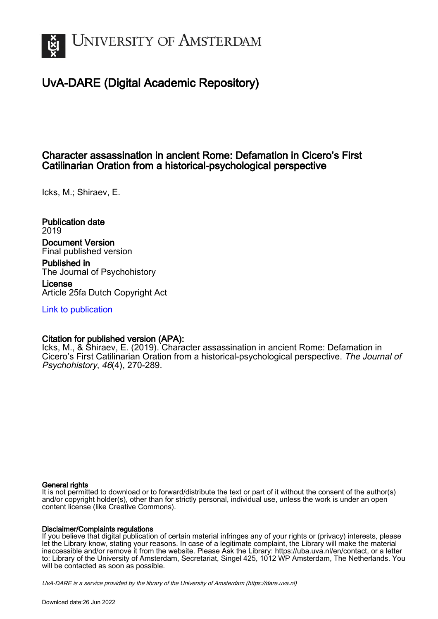

# UvA-DARE (Digital Academic Repository)

## Character assassination in ancient Rome: Defamation in Cicero's First Catilinarian Oration from a historical-psychological perspective

Icks, M.; Shiraev, E.

Publication date 2019 Document Version Final published version

Published in The Journal of Psychohistory

License Article 25fa Dutch Copyright Act

[Link to publication](https://dare.uva.nl/personal/pure/en/publications/character-assassination-in-ancient-rome-defamation-in-ciceros-first-catilinarian-oration-from-a-historicalpsychological-perspective(1d059f5b-5a1b-47fb-86a8-eb5153b805c7).html)

### Citation for published version (APA):

Icks, M., & Shiraev, E. (2019). Character assassination in ancient Rome: Defamation in Cicero's First Catilinarian Oration from a historical-psychological perspective. The Journal of Psychohistory, 46(4), 270-289.

#### General rights

It is not permitted to download or to forward/distribute the text or part of it without the consent of the author(s) and/or copyright holder(s), other than for strictly personal, individual use, unless the work is under an open content license (like Creative Commons).

#### Disclaimer/Complaints regulations

If you believe that digital publication of certain material infringes any of your rights or (privacy) interests, please let the Library know, stating your reasons. In case of a legitimate complaint, the Library will make the material inaccessible and/or remove it from the website. Please Ask the Library: https://uba.uva.nl/en/contact, or a letter to: Library of the University of Amsterdam, Secretariat, Singel 425, 1012 WP Amsterdam, The Netherlands. You will be contacted as soon as possible.

UvA-DARE is a service provided by the library of the University of Amsterdam (http*s*://dare.uva.nl)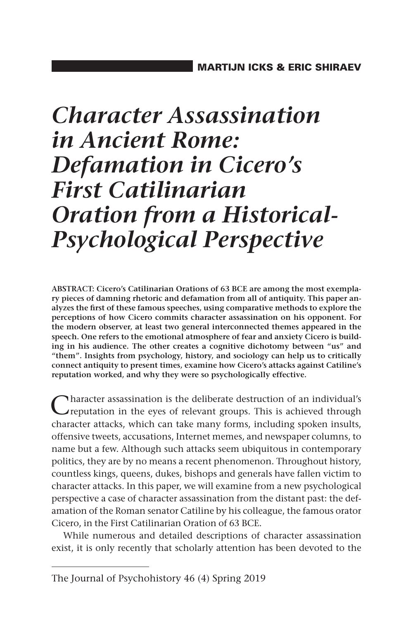# *Character Assassination in Ancient Rome: Defamation in Cicero's First Catilinarian Oration from a Historical-Psychological Perspective*

**ABSTRACT: Cicero's Catilinarian Orations of 63 BCE are among the most exemplary pieces of damning rhetoric and defamation from all of antiquity. This paper analyzes the first of these famous speeches, using comparative methods to explore the perceptions of how Cicero commits character assassination on his opponent. For the modern observer, at least two general interconnected themes appeared in the speech. One refers to the emotional atmosphere of fear and anxiety Cicero is building in his audience. The other creates a cognitive dichotomy between "us" and "them". Insights from psychology, history, and sociology can help us to critically connect antiquity to present times, examine how Cicero's attacks against Catiline's reputation worked, and why they were so psychologically effective.**

Character assassination is the deliberate destruction of an individual's Creputation in the eyes of relevant groups. This is achieved through character attacks, which can take many forms, including spoken insults, offensive tweets, accusations, Internet memes, and newspaper columns, to name but a few. Although such attacks seem ubiquitous in contemporary politics, they are by no means a recent phenomenon. Throughout history, countless kings, queens, dukes, bishops and generals have fallen victim to character attacks. In this paper, we will examine from a new psychological perspective a case of character assassination from the distant past: the defamation of the Roman senator Catiline by his colleague, the famous orator Cicero, in the First Catilinarian Oration of 63 BCE.

While numerous and detailed descriptions of character assassination exist, it is only recently that scholarly attention has been devoted to the

The Journal of Psychohistory 46 (4) Spring 2019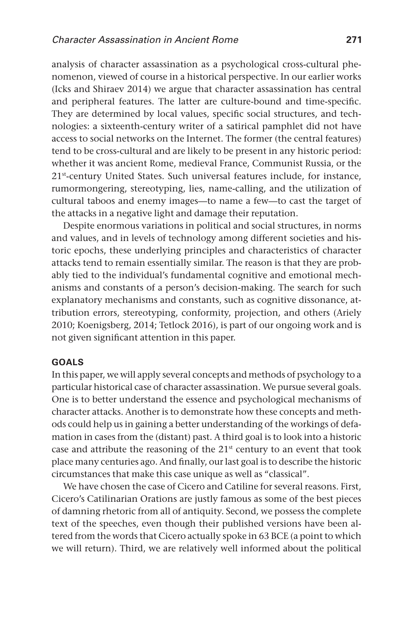analysis of character assassination as a psychological cross-cultural phenomenon, viewed of course in a historical perspective. In our earlier works (Icks and Shiraev 2014) we argue that character assassination has central and peripheral features. The latter are culture-bound and time-specific. They are determined by local values, specific social structures, and technologies: a sixteenth-century writer of a satirical pamphlet did not have access to social networks on the Internet. The former (the central features) tend to be cross-cultural and are likely to be present in any historic period: whether it was ancient Rome, medieval France, Communist Russia, or the 21st-century United States. Such universal features include, for instance, rumormongering, stereotyping, lies, name-calling, and the utilization of cultural taboos and enemy images—to name a few—to cast the target of the attacks in a negative light and damage their reputation.

Despite enormous variations in political and social structures, in norms and values, and in levels of technology among different societies and historic epochs, these underlying principles and characteristics of character attacks tend to remain essentially similar. The reason is that they are probably tied to the individual's fundamental cognitive and emotional mechanisms and constants of a person's decision-making. The search for such explanatory mechanisms and constants, such as cognitive dissonance, attribution errors, stereotyping, conformity, projection, and others (Ariely 2010; Koenigsberg, 2014; Tetlock 2016), is part of our ongoing work and is not given significant attention in this paper.

#### **Goals**

In this paper, we will apply several concepts and methods of psychology to a particular historical case of character assassination. We pursue several goals. One is to better understand the essence and psychological mechanisms of character attacks. Another is to demonstrate how these concepts and methods could help us in gaining a better understanding of the workings of defamation in cases from the (distant) past. A third goal is to look into a historic case and attribute the reasoning of the  $21<sup>st</sup>$  century to an event that took place many centuries ago. And finally, our last goal is to describe the historic circumstances that make this case unique as well as "classical".

We have chosen the case of Cicero and Catiline for several reasons. First, Cicero's Catilinarian Orations are justly famous as some of the best pieces of damning rhetoric from all of antiquity. Second, we possess the complete text of the speeches, even though their published versions have been altered from the words that Cicero actually spoke in 63 BCE (a point to which we will return). Third, we are relatively well informed about the political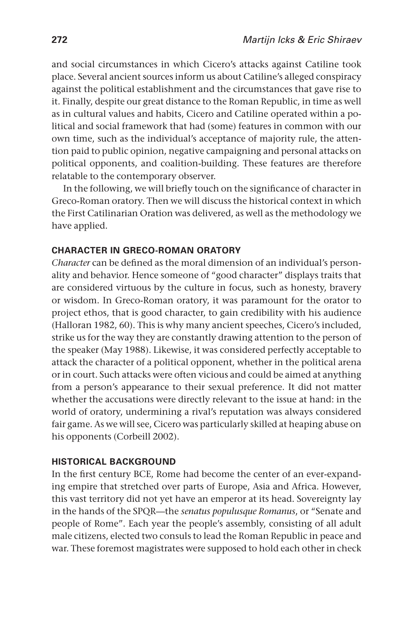and social circumstances in which Cicero's attacks against Catiline took place. Several ancient sources inform us about Catiline's alleged conspiracy against the political establishment and the circumstances that gave rise to it. Finally, despite our great distance to the Roman Republic, in time as well as in cultural values and habits, Cicero and Catiline operated within a political and social framework that had (some) features in common with our own time, such as the individual's acceptance of majority rule, the attention paid to public opinion, negative campaigning and personal attacks on political opponents, and coalition-building. These features are therefore relatable to the contemporary observer.

In the following, we will briefly touch on the significance of character in Greco-Roman oratory. Then we will discuss the historical context in which the First Catilinarian Oration was delivered, as well as the methodology we have applied.

#### **Character in Greco-Roman oratory**

*Character* can be defined as the moral dimension of an individual's personality and behavior. Hence someone of "good character" displays traits that are considered virtuous by the culture in focus, such as honesty, bravery or wisdom. In Greco-Roman oratory, it was paramount for the orator to project ethos, that is good character, to gain credibility with his audience (Halloran 1982, 60). This is why many ancient speeches, Cicero's included, strike us for the way they are constantly drawing attention to the person of the speaker (May 1988). Likewise, it was considered perfectly acceptable to attack the character of a political opponent, whether in the political arena or in court. Such attacks were often vicious and could be aimed at anything from a person's appearance to their sexual preference. It did not matter whether the accusations were directly relevant to the issue at hand: in the world of oratory, undermining a rival's reputation was always considered fair game. As we will see, Cicero was particularly skilled at heaping abuse on his opponents (Corbeill 2002).

#### **Historical background**

In the first century BCE, Rome had become the center of an ever-expanding empire that stretched over parts of Europe, Asia and Africa. However, this vast territory did not yet have an emperor at its head. Sovereignty lay in the hands of the SPQR—the *senatus populusque Romanus*, or "Senate and people of Rome". Each year the people's assembly, consisting of all adult male citizens, elected two consuls to lead the Roman Republic in peace and war. These foremost magistrates were supposed to hold each other in check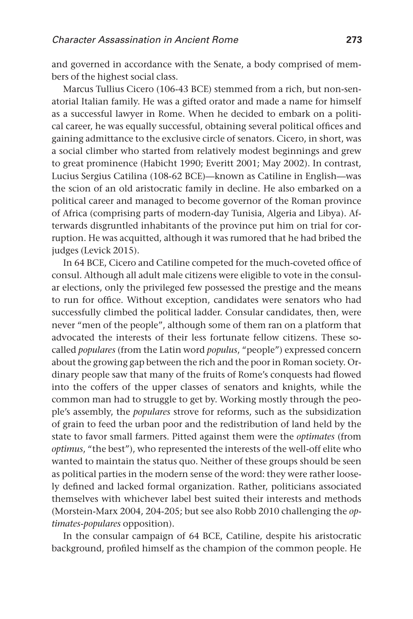and governed in accordance with the Senate, a body comprised of members of the highest social class.

Marcus Tullius Cicero (106-43 BCE) stemmed from a rich, but non-senatorial Italian family. He was a gifted orator and made a name for himself as a successful lawyer in Rome. When he decided to embark on a political career, he was equally successful, obtaining several political offices and gaining admittance to the exclusive circle of senators. Cicero, in short, was a social climber who started from relatively modest beginnings and grew to great prominence (Habicht 1990; Everitt 2001; May 2002). In contrast, Lucius Sergius Catilina (108-62 BCE)—known as Catiline in English—was the scion of an old aristocratic family in decline. He also embarked on a political career and managed to become governor of the Roman province of Africa (comprising parts of modern-day Tunisia, Algeria and Libya). Afterwards disgruntled inhabitants of the province put him on trial for corruption. He was acquitted, although it was rumored that he had bribed the judges (Levick 2015).

In 64 BCE, Cicero and Catiline competed for the much-coveted office of consul. Although all adult male citizens were eligible to vote in the consular elections, only the privileged few possessed the prestige and the means to run for office. Without exception, candidates were senators who had successfully climbed the political ladder. Consular candidates, then, were never "men of the people", although some of them ran on a platform that advocated the interests of their less fortunate fellow citizens. These socalled *populares* (from the Latin word *populus*, "people") expressed concern about the growing gap between the rich and the poor in Roman society. Ordinary people saw that many of the fruits of Rome's conquests had flowed into the coffers of the upper classes of senators and knights, while the common man had to struggle to get by. Working mostly through the people's assembly, the *populares* strove for reforms, such as the subsidization of grain to feed the urban poor and the redistribution of land held by the state to favor small farmers. Pitted against them were the *optimates* (from *optimus*, "the best"), who represented the interests of the well-off elite who wanted to maintain the status quo. Neither of these groups should be seen as political parties in the modern sense of the word: they were rather loosely defined and lacked formal organization. Rather, politicians associated themselves with whichever label best suited their interests and methods (Morstein-Marx 2004, 204-205; but see also Robb 2010 challenging the *optimates*-*populares* opposition).

In the consular campaign of 64 BCE, Catiline, despite his aristocratic background, profiled himself as the champion of the common people. He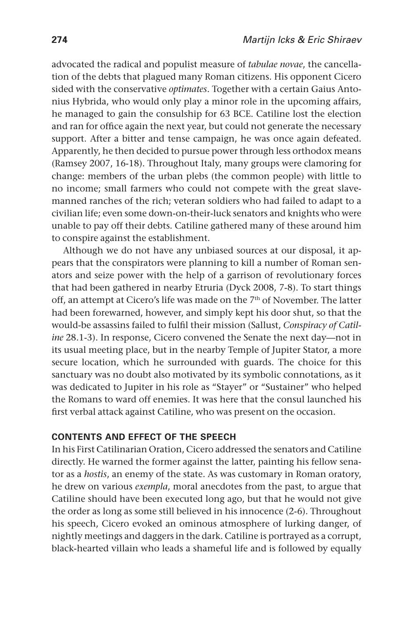advocated the radical and populist measure of *tabulae novae*, the cancellation of the debts that plagued many Roman citizens. His opponent Cicero sided with the conservative *optimates*. Together with a certain Gaius Antonius Hybrida, who would only play a minor role in the upcoming affairs, he managed to gain the consulship for 63 BCE. Catiline lost the election and ran for office again the next year, but could not generate the necessary support. After a bitter and tense campaign, he was once again defeated. Apparently, he then decided to pursue power through less orthodox means (Ramsey 2007, 16-18). Throughout Italy, many groups were clamoring for change: members of the urban plebs (the common people) with little to no income; small farmers who could not compete with the great slavemanned ranches of the rich; veteran soldiers who had failed to adapt to a civilian life; even some down-on-their-luck senators and knights who were unable to pay off their debts. Catiline gathered many of these around him to conspire against the establishment.

Although we do not have any unbiased sources at our disposal, it appears that the conspirators were planning to kill a number of Roman senators and seize power with the help of a garrison of revolutionary forces that had been gathered in nearby Etruria (Dyck 2008, 7-8). To start things off, an attempt at Cicero's life was made on the 7<sup>th</sup> of November. The latter had been forewarned, however, and simply kept his door shut, so that the would-be assassins failed to fulfil their mission (Sallust, *Conspiracy of Catiline* 28.1-3). In response, Cicero convened the Senate the next day—not in its usual meeting place, but in the nearby Temple of Jupiter Stator, a more secure location, which he surrounded with guards. The choice for this sanctuary was no doubt also motivated by its symbolic connotations, as it was dedicated to Jupiter in his role as "Stayer" or "Sustainer" who helped the Romans to ward off enemies. It was here that the consul launched his first verbal attack against Catiline, who was present on the occasion.

#### **Contents and effect of the speech**

In his First Catilinarian Oration, Cicero addressed the senators and Catiline directly. He warned the former against the latter, painting his fellow senator as a *hostis*, an enemy of the state. As was customary in Roman oratory, he drew on various *exempla*, moral anecdotes from the past, to argue that Catiline should have been executed long ago, but that he would not give the order as long as some still believed in his innocence (2-6). Throughout his speech, Cicero evoked an ominous atmosphere of lurking danger, of nightly meetings and daggers in the dark. Catiline is portrayed as a corrupt, black-hearted villain who leads a shameful life and is followed by equally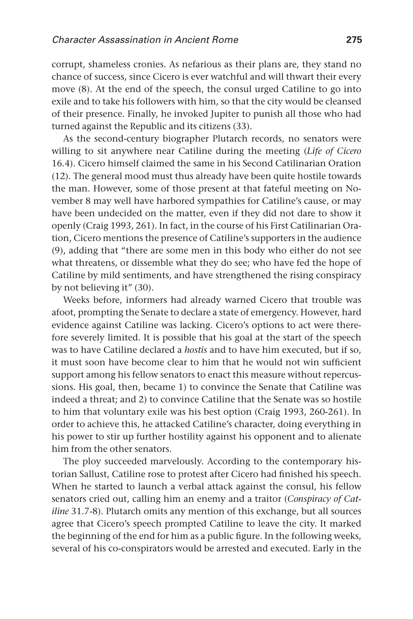corrupt, shameless cronies. As nefarious as their plans are, they stand no chance of success, since Cicero is ever watchful and will thwart their every move (8). At the end of the speech, the consul urged Catiline to go into exile and to take his followers with him, so that the city would be cleansed of their presence. Finally, he invoked Jupiter to punish all those who had turned against the Republic and its citizens (33).

As the second-century biographer Plutarch records, no senators were willing to sit anywhere near Catiline during the meeting (*Life of Cicero* 16.4). Cicero himself claimed the same in his Second Catilinarian Oration (12). The general mood must thus already have been quite hostile towards the man. However, some of those present at that fateful meeting on November 8 may well have harbored sympathies for Catiline's cause, or may have been undecided on the matter, even if they did not dare to show it openly (Craig 1993, 261). In fact, in the course of his First Catilinarian Oration, Cicero mentions the presence of Catiline's supporters in the audience (9), adding that "there are some men in this body who either do not see what threatens, or dissemble what they do see; who have fed the hope of Catiline by mild sentiments, and have strengthened the rising conspiracy by not believing it" (30).

Weeks before, informers had already warned Cicero that trouble was afoot, prompting the Senate to declare a state of emergency. However, hard evidence against Catiline was lacking. Cicero's options to act were therefore severely limited. It is possible that his goal at the start of the speech was to have Catiline declared a *hostis* and to have him executed, but if so, it must soon have become clear to him that he would not win sufficient support among his fellow senators to enact this measure without repercussions. His goal, then, became 1) to convince the Senate that Catiline was indeed a threat; and 2) to convince Catiline that the Senate was so hostile to him that voluntary exile was his best option (Craig 1993, 260-261). In order to achieve this, he attacked Catiline's character, doing everything in his power to stir up further hostility against his opponent and to alienate him from the other senators.

The ploy succeeded marvelously. According to the contemporary historian Sallust, Catiline rose to protest after Cicero had finished his speech. When he started to launch a verbal attack against the consul, his fellow senators cried out, calling him an enemy and a traitor (*Conspiracy of Catiline* 31.7-8). Plutarch omits any mention of this exchange, but all sources agree that Cicero's speech prompted Catiline to leave the city. It marked the beginning of the end for him as a public figure. In the following weeks, several of his co-conspirators would be arrested and executed. Early in the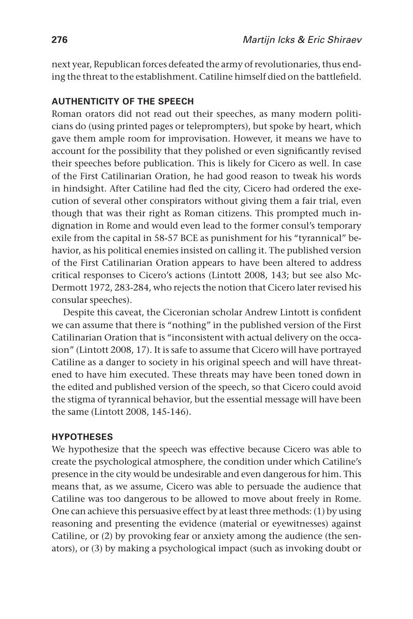next year, Republican forces defeated the army of revolutionaries, thus ending the threat to the establishment. Catiline himself died on the battlefield.

#### **Authenticity of the speech**

Roman orators did not read out their speeches, as many modern politicians do (using printed pages or teleprompters), but spoke by heart, which gave them ample room for improvisation. However, it means we have to account for the possibility that they polished or even significantly revised their speeches before publication. This is likely for Cicero as well. In case of the First Catilinarian Oration, he had good reason to tweak his words in hindsight. After Catiline had fled the city, Cicero had ordered the execution of several other conspirators without giving them a fair trial, even though that was their right as Roman citizens. This prompted much indignation in Rome and would even lead to the former consul's temporary exile from the capital in 58-57 BCE as punishment for his "tyrannical" behavior, as his political enemies insisted on calling it. The published version of the First Catilinarian Oration appears to have been altered to address critical responses to Cicero's actions (Lintott 2008, 143; but see also Mc-Dermott 1972, 283-284, who rejects the notion that Cicero later revised his consular speeches).

Despite this caveat, the Ciceronian scholar Andrew Lintott is confident we can assume that there is "nothing" in the published version of the First Catilinarian Oration that is "inconsistent with actual delivery on the occasion" (Lintott 2008, 17). It is safe to assume that Cicero will have portrayed Catiline as a danger to society in his original speech and will have threatened to have him executed. These threats may have been toned down in the edited and published version of the speech, so that Cicero could avoid the stigma of tyrannical behavior, but the essential message will have been the same (Lintott 2008, 145-146).

#### **Hypotheses**

We hypothesize that the speech was effective because Cicero was able to create the psychological atmosphere, the condition under which Catiline's presence in the city would be undesirable and even dangerous for him. This means that, as we assume, Cicero was able to persuade the audience that Catiline was too dangerous to be allowed to move about freely in Rome. One can achieve this persuasive effect by at least three methods: (1) by using reasoning and presenting the evidence (material or eyewitnesses) against Catiline, or (2) by provoking fear or anxiety among the audience (the senators), or (3) by making a psychological impact (such as invoking doubt or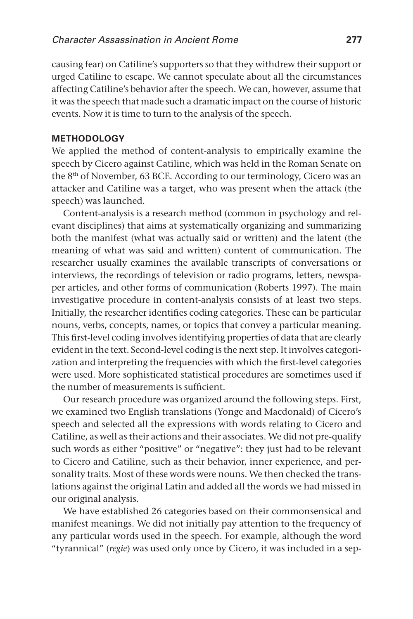causing fear) on Catiline's supporters so that they withdrew their support or urged Catiline to escape. We cannot speculate about all the circumstances affecting Catiline's behavior after the speech. We can, however, assume that it was the speech that made such a dramatic impact on the course of historic events. Now it is time to turn to the analysis of the speech.

#### **Methodology**

We applied the method of content-analysis to empirically examine the speech by Cicero against Catiline, which was held in the Roman Senate on the 8<sup>th</sup> of November, 63 BCE. According to our terminology, Cicero was an attacker and Catiline was a target, who was present when the attack (the speech) was launched.

Content-analysis is a research method (common in psychology and relevant disciplines) that aims at systematically organizing and summarizing both the manifest (what was actually said or written) and the latent (the meaning of what was said and written) content of communication. The researcher usually examines the available transcripts of conversations or interviews, the recordings of television or radio programs, letters, newspaper articles, and other forms of communication (Roberts 1997). The main investigative procedure in content-analysis consists of at least two steps. Initially, the researcher identifies coding categories. These can be particular nouns, verbs, concepts, names, or topics that convey a particular meaning. This first-level coding involves identifying properties of data that are clearly evident in the text. Second-level coding is the next step. It involves categorization and interpreting the frequencies with which the first-level categories were used. More sophisticated statistical procedures are sometimes used if the number of measurements is sufficient.

Our research procedure was organized around the following steps. First, we examined two English translations (Yonge and Macdonald) of Cicero's speech and selected all the expressions with words relating to Cicero and Catiline, as well as their actions and their associates. We did not pre-qualify such words as either "positive" or "negative": they just had to be relevant to Cicero and Catiline, such as their behavior, inner experience, and personality traits. Most of these words were nouns. We then checked the translations against the original Latin and added all the words we had missed in our original analysis.

We have established 26 categories based on their commonsensical and manifest meanings. We did not initially pay attention to the frequency of any particular words used in the speech. For example, although the word "tyrannical" (*regie*) was used only once by Cicero, it was included in a sep-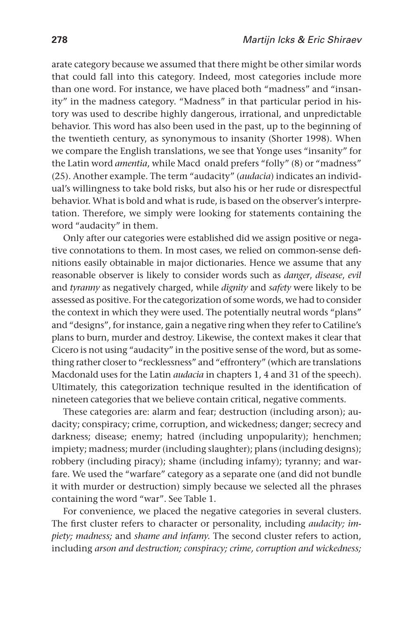arate category because we assumed that there might be other similar words that could fall into this category. Indeed, most categories include more than one word. For instance, we have placed both "madness" and "insanity" in the madness category. "Madness" in that particular period in history was used to describe highly dangerous, irrational, and unpredictable behavior. This word has also been used in the past, up to the beginning of the twentieth century, as synonymous to insanity (Shorter 1998). When we compare the English translations, we see that Yonge uses "insanity" for the Latin word *amentia*, while Macd onald prefers "folly" (8) or "madness" (25). Another example. The term "audacity" (*audacia*) indicates an individual's willingness to take bold risks, but also his or her rude or disrespectful behavior. What is bold and what is rude, is based on the observer's interpretation. Therefore, we simply were looking for statements containing the word "audacity" in them.

Only after our categories were established did we assign positive or negative connotations to them. In most cases, we relied on common-sense definitions easily obtainable in major dictionaries. Hence we assume that any reasonable observer is likely to consider words such as *danger*, *disease*, *evil* and *tyranny* as negatively charged, while *dignity* and *safety* were likely to be assessed as positive. For the categorization of some words, we had to consider the context in which they were used. The potentially neutral words "plans" and "designs", for instance, gain a negative ring when they refer to Catiline's plans to burn, murder and destroy. Likewise, the context makes it clear that Cicero is not using "audacity" in the positive sense of the word, but as something rather closer to "recklessness" and "effrontery" (which are translations Macdonald uses for the Latin *audacia* in chapters 1, 4 and 31 of the speech). Ultimately, this categorization technique resulted in the identification of nineteen categories that we believe contain critical, negative comments.

These categories are: alarm and fear; destruction (including arson); audacity; conspiracy; crime, corruption, and wickedness; danger; secrecy and darkness; disease; enemy; hatred (including unpopularity); henchmen; impiety; madness; murder (including slaughter); plans (including designs); robbery (including piracy); shame (including infamy); tyranny; and warfare. We used the "warfare" category as a separate one (and did not bundle it with murder or destruction) simply because we selected all the phrases containing the word "war". See Table 1.

For convenience, we placed the negative categories in several clusters. The first cluster refers to character or personality, including *audacity; impiety; madness;* and *shame and infamy.* The second cluster refers to action, including *arson and destruction; conspiracy; crime, corruption and wickedness;*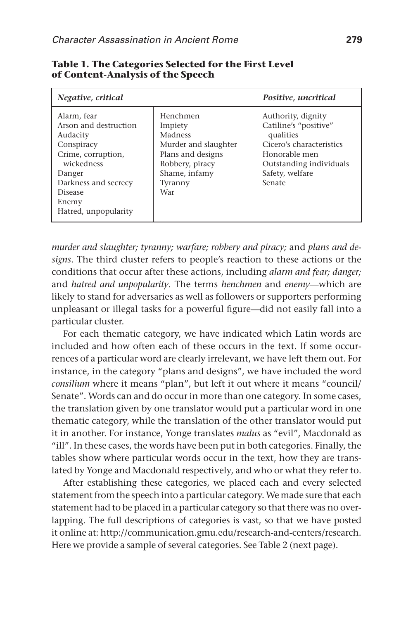| Negative, critical                                                                                                                                                               |                                                                                                                                   | Positive, uncritical                                                                                                                                          |  |
|----------------------------------------------------------------------------------------------------------------------------------------------------------------------------------|-----------------------------------------------------------------------------------------------------------------------------------|---------------------------------------------------------------------------------------------------------------------------------------------------------------|--|
| Alarm, fear<br>Arson and destruction<br>Audacity<br>Conspiracy<br>Crime, corruption,<br>wickedness<br>Danger<br>Darkness and secrecy<br>Disease<br>Enemy<br>Hatred, unpopularity | Henchmen<br>Impiety<br>Madness<br>Murder and slaughter<br>Plans and designs<br>Robbery, piracy<br>Shame, infamy<br>Tyranny<br>War | Authority, dignity<br>Catiline's "positive"<br>qualities<br>Cicero's characteristics<br>Honorable men<br>Outstanding individuals<br>Safety, welfare<br>Senate |  |

#### **Table 1. The Categories Selected for the First Level of Content-Analysis of the Speech**

*murder and slaughter; tyranny; warfare; robbery and piracy;* and *plans and designs*. The third cluster refers to people's reaction to these actions or the conditions that occur after these actions, including *alarm and fear; danger;* and *hatred and unpopularity*. The terms *henchmen* and *enemy*—which are likely to stand for adversaries as well as followers or supporters performing unpleasant or illegal tasks for a powerful figure—did not easily fall into a particular cluster.

For each thematic category, we have indicated which Latin words are included and how often each of these occurs in the text. If some occurrences of a particular word are clearly irrelevant, we have left them out. For instance, in the category "plans and designs", we have included the word *consilium* where it means "plan", but left it out where it means "council/ Senate". Words can and do occur in more than one category. In some cases, the translation given by one translator would put a particular word in one thematic category, while the translation of the other translator would put it in another. For instance, Yonge translates *malus* as "evil", Macdonald as "ill". In these cases, the words have been put in both categories. Finally, the tables show where particular words occur in the text, how they are translated by Yonge and Macdonald respectively, and who or what they refer to.

After establishing these categories, we placed each and every selected statement from the speech into a particular category. We made sure that each statement had to be placed in a particular category so that there was no overlapping. The full descriptions of categories is vast, so that we have posted it online at: http://communication.gmu.edu/research-and-centers/research. Here we provide a sample of several categories. See Table 2 (next page).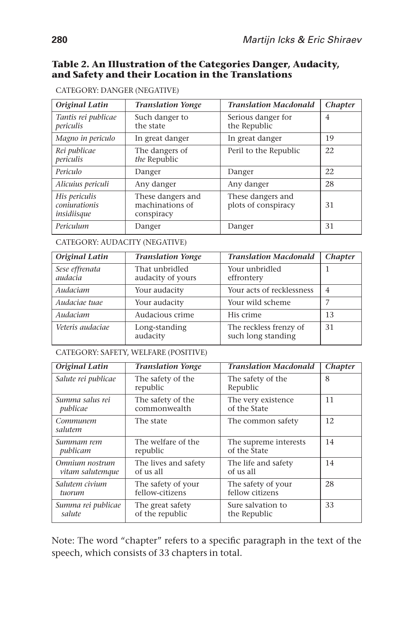#### **Table 2. An Illustration of the Categories Danger, Audacity, and Safety and their Location in the Translations**

| Original Latin                                | <b>Translation Yonge</b>                           | <b>Translation Macdonald</b>             | <b>Chapter</b> |
|-----------------------------------------------|----------------------------------------------------|------------------------------------------|----------------|
| Tantis rei publicae<br>periculis              | Such danger to<br>the state                        | Serious danger for<br>the Republic       | 4              |
| Magno in periculo                             | In great danger                                    | In great danger                          | 19             |
| Rei publicae<br>periculis                     | The dangers of<br>the Republic                     | Peril to the Republic                    | 22             |
| Periculo                                      | Danger                                             | Danger                                   | 22             |
| Alicuius periculi                             | Any danger                                         | Any danger                               | 28             |
| His periculis<br>coniurationis<br>insidiisque | These dangers and<br>machinations of<br>conspiracy | These dangers and<br>plots of conspiracy | 31             |
| Periculum                                     | Danger                                             | Danger                                   | 31             |

CATEGORY: DANGER (NEGATIVE)

CATEGORY: AUDACITY (NEGATIVE)

| Original Latin            | <b>Translation Yonge</b>            | <b>Translation Macdonald</b>                 | <b>Chapter</b> |
|---------------------------|-------------------------------------|----------------------------------------------|----------------|
| Sese effrenata<br>audacia | That unbridled<br>audacity of yours | Your unbridled<br>effrontery                 |                |
| Audaciam                  | Your audacity                       | Your acts of recklessness                    | 4              |
| Audaciae tuae             | Your wild scheme<br>Your audacity   |                                              |                |
| Audaciam                  | Audacious crime                     | His crime                                    | 13             |
| Veteris audaciae          | Long-standing<br>audacity           | The reckless frenzy of<br>such long standing | 31             |

CATEGORY: SAFETY, WELFARE (POSITIVE)

| Original Latin              | <b>Translation Yonge</b>                                                | <b>Translation Macdonald</b> | <i>Chapter</i> |
|-----------------------------|-------------------------------------------------------------------------|------------------------------|----------------|
| Salute rei publicae         | The safety of the<br>The safety of the<br>republic<br>Republic          |                              | 8              |
| Summa salus rei<br>publicae | The safety of the<br>The very existence<br>commonwealth<br>of the State |                              | 11             |
| Communem<br>salutem         | The state                                                               | The common safety            | 12             |
| Summam rem                  | The welfare of the                                                      | The supreme interests        |                |
| publicam                    | republic                                                                | of the State                 |                |
| Omnium nostrum              | The lives and safety                                                    | The life and safety          |                |
| vitam salutemque            | of us all                                                               | of us all                    |                |
| Salutem civium              | The safety of your                                                      | The safety of your           | 28             |
| tuorum                      | fellow-citizens                                                         | fellow citizens              |                |
| Summa rei publicae          | The great safety                                                        | Sure salvation to            | 33             |
| salute                      | of the republic                                                         | the Republic                 |                |

Note: The word "chapter" refers to a specific paragraph in the text of the speech, which consists of 33 chapters in total.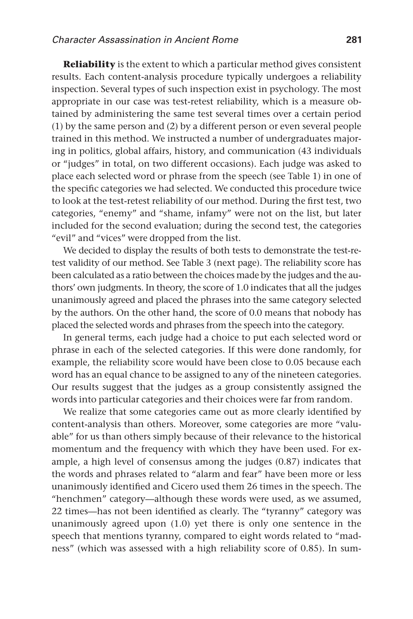**Reliability** is the extent to which a particular method gives consistent results. Each content-analysis procedure typically undergoes a reliability inspection. Several types of such inspection exist in psychology. The most appropriate in our case was test-retest reliability, which is a measure obtained by administering the same test several times over a certain period (1) by the same person and (2) by a different person or even several people trained in this method. We instructed a number of undergraduates majoring in politics, global affairs, history, and communication (43 individuals or "judges" in total, on two different occasions). Each judge was asked to place each selected word or phrase from the speech (see Table 1) in one of the specific categories we had selected. We conducted this procedure twice to look at the test-retest reliability of our method. During the first test, two categories, "enemy" and "shame, infamy" were not on the list, but later included for the second evaluation; during the second test, the categories "evil" and "vices" were dropped from the list.

We decided to display the results of both tests to demonstrate the test-retest validity of our method. See Table 3 (next page). The reliability score has been calculated as a ratio between the choices made by the judges and the authors' own judgments. In theory, the score of 1.0 indicates that all the judges unanimously agreed and placed the phrases into the same category selected by the authors. On the other hand, the score of 0.0 means that nobody has placed the selected words and phrases from the speech into the category.

In general terms, each judge had a choice to put each selected word or phrase in each of the selected categories. If this were done randomly, for example, the reliability score would have been close to 0.05 because each word has an equal chance to be assigned to any of the nineteen categories. Our results suggest that the judges as a group consistently assigned the words into particular categories and their choices were far from random.

We realize that some categories came out as more clearly identified by content-analysis than others. Moreover, some categories are more "valuable" for us than others simply because of their relevance to the historical momentum and the frequency with which they have been used. For example, a high level of consensus among the judges (0.87) indicates that the words and phrases related to "alarm and fear" have been more or less unanimously identified and Cicero used them 26 times in the speech. The "henchmen" category—although these words were used, as we assumed, 22 times—has not been identified as clearly. The "tyranny" category was unanimously agreed upon (1.0) yet there is only one sentence in the speech that mentions tyranny, compared to eight words related to "madness" (which was assessed with a high reliability score of 0.85). In sum-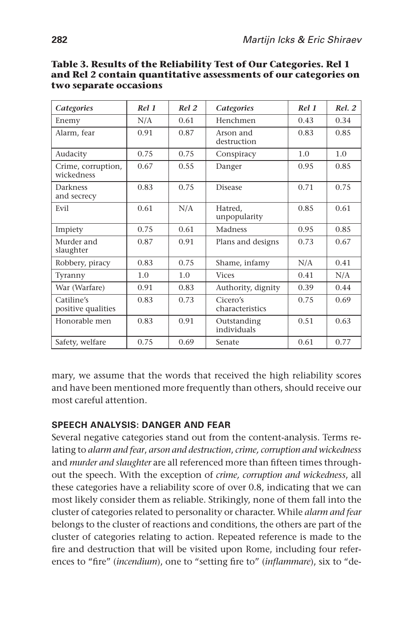| <b>Categories</b>                | Rel 1 | Rel 2 | <b>Categories</b>           | Rel 1 | Rel. 2 |
|----------------------------------|-------|-------|-----------------------------|-------|--------|
| Enemy                            | N/A   | 0.61  | Henchmen                    | 0.43  | 0.34   |
| Alarm, fear                      | 0.91  | 0.87  | Arson and<br>destruction    | 0.83  | 0.85   |
| Audacity                         | 0.75  | 0.75  | Conspiracy                  | 1.0   | 1.0    |
| Crime, corruption,<br>wickedness | 0.67  | 0.55  | Danger                      | 0.95  | 0.85   |
| Darkness<br>and secrecy          | 0.83  | 0.75  | <b>Disease</b>              | 0.71  | 0.75   |
| Evil                             | 0.61  | N/A   | Hatred,<br>unpopularity     | 0.85  | 0.61   |
| Impiety                          | 0.75  | 0.61  | Madness                     | 0.95  | 0.85   |
| Murder and<br>slaughter          | 0.87  | 0.91  | Plans and designs           | 0.73  | 0.67   |
| Robbery, piracy                  | 0.83  | 0.75  | Shame, infamy               | N/A   | 0.41   |
| Tyranny                          | 1.0   | 1.0   | <b>Vices</b>                | 0.41  | N/A    |
| War (Warfare)                    | 0.91  | 0.83  | Authority, dignity          | 0.39  | 0.44   |
| Catiline's<br>positive qualities | 0.83  | 0.73  | Cicero's<br>characteristics | 0.75  | 0.69   |
| Honorable men                    | 0.83  | 0.91  | Outstanding<br>individuals  | 0.51  | 0.63   |
| Safety, welfare                  | 0.75  | 0.69  | Senate                      | 0.61  | 0.77   |

**Table 3. Results of the Reliability Test of Our Categories. Rel 1 and Rel 2 contain quantitative assessments of our categories on two separate occasions**

mary, we assume that the words that received the high reliability scores and have been mentioned more frequently than others, should receive our most careful attention.

#### **Speech analysis: Danger and fear**

Several negative categories stand out from the content-analysis. Terms relating to *alarm and fear*, *arson and destruction*, *crime, corruption and wickedness* and *murder and slaughter* are all referenced more than fifteen times throughout the speech. With the exception of *crime, corruption and wickedness*, all these categories have a reliability score of over 0.8, indicating that we can most likely consider them as reliable. Strikingly, none of them fall into the cluster of categories related to personality or character. While *alarm and fear* belongs to the cluster of reactions and conditions, the others are part of the cluster of categories relating to action. Repeated reference is made to the fire and destruction that will be visited upon Rome, including four references to "fire" (*incendium*), one to "setting fire to" (*inflammare*), six to "de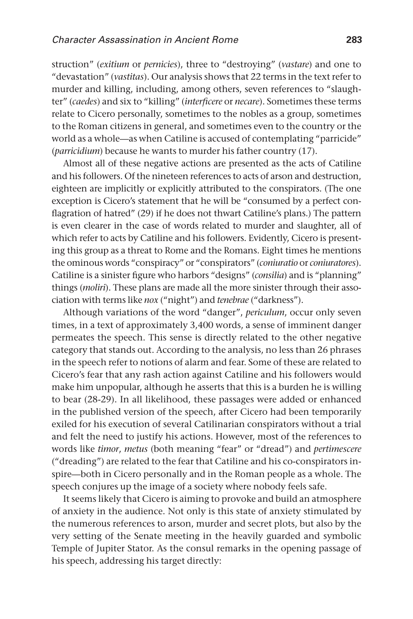struction" (*exitium* or *pernicies*), three to "destroying" (*vastare*) and one to "devastation" (*vastitas*). Our analysis shows that 22 terms in the text refer to murder and killing, including, among others, seven references to "slaughter" (*caedes*) and six to "killing" (*interficere* or *necare*). Sometimes these terms relate to Cicero personally, sometimes to the nobles as a group, sometimes to the Roman citizens in general, and sometimes even to the country or the world as a whole—as when Catiline is accused of contemplating "parricide" (*parricidium*) because he wants to murder his father country (17).

Almost all of these negative actions are presented as the acts of Catiline and his followers. Of the nineteen references to acts of arson and destruction, eighteen are implicitly or explicitly attributed to the conspirators. (The one exception is Cicero's statement that he will be "consumed by a perfect conflagration of hatred" (29) if he does not thwart Catiline's plans.) The pattern is even clearer in the case of words related to murder and slaughter, all of which refer to acts by Catiline and his followers. Evidently, Cicero is presenting this group as a threat to Rome and the Romans. Eight times he mentions the ominous words "conspiracy" or "conspirators" (*coniuratio* or *coniuratores*). Catiline is a sinister figure who harbors "designs" (*consilia*) and is "planning" things (*moliri*). These plans are made all the more sinister through their association with terms like *nox* ("night") and *tenebrae* ("darkness").

Although variations of the word "danger", *periculum*, occur only seven times, in a text of approximately 3,400 words, a sense of imminent danger permeates the speech. This sense is directly related to the other negative category that stands out. According to the analysis, no less than 26 phrases in the speech refer to notions of alarm and fear. Some of these are related to Cicero's fear that any rash action against Catiline and his followers would make him unpopular, although he asserts that this is a burden he is willing to bear (28-29). In all likelihood, these passages were added or enhanced in the published version of the speech, after Cicero had been temporarily exiled for his execution of several Catilinarian conspirators without a trial and felt the need to justify his actions. However, most of the references to words like *timor*, *metus* (both meaning "fear" or "dread") and *pertimescere* ("dreading") are related to the fear that Catiline and his co-conspirators inspire—both in Cicero personally and in the Roman people as a whole. The speech conjures up the image of a society where nobody feels safe.

It seems likely that Cicero is aiming to provoke and build an atmosphere of anxiety in the audience. Not only is this state of anxiety stimulated by the numerous references to arson, murder and secret plots, but also by the very setting of the Senate meeting in the heavily guarded and symbolic Temple of Jupiter Stator. As the consul remarks in the opening passage of his speech, addressing his target directly: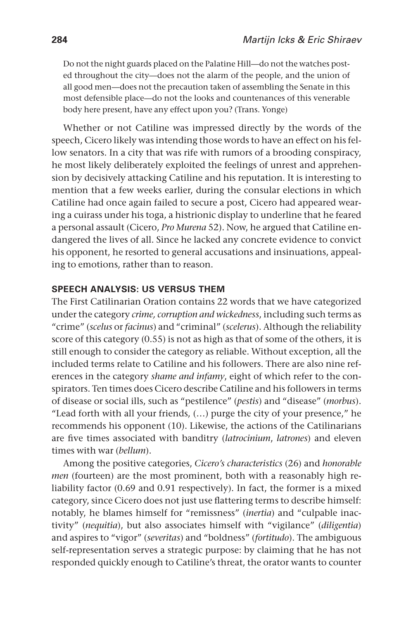Do not the night guards placed on the Palatine Hill—do not the watches posted throughout the city—does not the alarm of the people, and the union of all good men—does not the precaution taken of assembling the Senate in this most defensible place—do not the looks and countenances of this venerable body here present, have any effect upon you? (Trans. Yonge)

Whether or not Catiline was impressed directly by the words of the speech, Cicero likely was intending those words to have an effect on his fellow senators. In a city that was rife with rumors of a brooding conspiracy, he most likely deliberately exploited the feelings of unrest and apprehension by decisively attacking Catiline and his reputation. It is interesting to mention that a few weeks earlier, during the consular elections in which Catiline had once again failed to secure a post, Cicero had appeared wearing a cuirass under his toga, a histrionic display to underline that he feared a personal assault (Cicero, *Pro Murena* 52). Now, he argued that Catiline endangered the lives of all. Since he lacked any concrete evidence to convict his opponent, he resorted to general accusations and insinuations, appealing to emotions, rather than to reason.

#### **Speech analysis: Us versus them**

The First Catilinarian Oration contains 22 words that we have categorized under the category *crime, corruption and wickedness*, including such terms as "crime" (*scelus* or *facinus*) and "criminal" (*scelerus*). Although the reliability score of this category (0.55) is not as high as that of some of the others, it is still enough to consider the category as reliable. Without exception, all the included terms relate to Catiline and his followers. There are also nine references in the category *shame and infamy*, eight of which refer to the conspirators. Ten times does Cicero describe Catiline and his followers in terms of disease or social ills, such as "pestilence" (*pestis*) and "disease" (*morbus*). "Lead forth with all your friends, (…) purge the city of your presence," he recommends his opponent (10). Likewise, the actions of the Catilinarians are five times associated with banditry (*latrocinium*, *latrones*) and eleven times with war (*bellum*).

Among the positive categories, *Cicero's characteristics* (26) and *honorable men* (fourteen) are the most prominent, both with a reasonably high reliability factor (0.69 and 0.91 respectively). In fact, the former is a mixed category, since Cicero does not just use flattering terms to describe himself: notably, he blames himself for "remissness" (*inertia*) and "culpable inactivity" (*nequitia*), but also associates himself with "vigilance" (*diligentia*) and aspires to "vigor" (*severitas*) and "boldness" (*fortitudo*). The ambiguous self-representation serves a strategic purpose: by claiming that he has not responded quickly enough to Catiline's threat, the orator wants to counter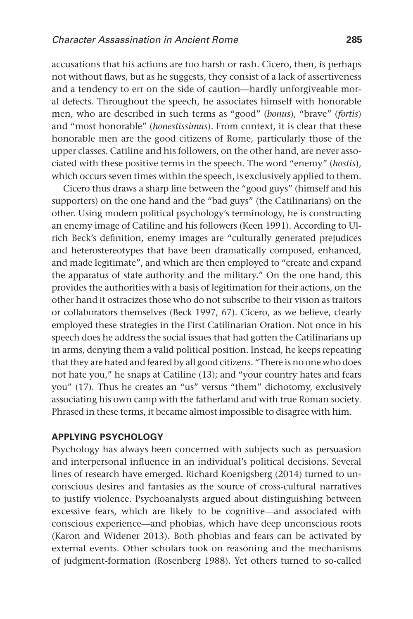accusations that his actions are too harsh or rash. Cicero, then, is perhaps not without flaws, but as he suggests, they consist of a lack of assertiveness and a tendency to err on the side of caution—hardly unforgiveable moral defects. Throughout the speech, he associates himself with honorable men, who are described in such terms as "good" (*bonus*), "brave" (*fortis*) and "most honorable" (*honestissimus*). From context, it is clear that these honorable men are the good citizens of Rome, particularly those of the upper classes. Catiline and his followers, on the other hand, are never associated with these positive terms in the speech. The word "enemy" (*hostis*), which occurs seven times within the speech, is exclusively applied to them.

Cicero thus draws a sharp line between the "good guys" (himself and his supporters) on the one hand and the "bad guys" (the Catilinarians) on the other. Using modern political psychology's terminology, he is constructing an enemy image of Catiline and his followers (Keen 1991). According to Ulrich Beck's definition, enemy images are "culturally generated prejudices and heterostereotypes that have been dramatically composed, enhanced, and made legitimate", and which are then employed to "create and expand the apparatus of state authority and the military." On the one hand, this provides the authorities with a basis of legitimation for their actions, on the other hand it ostracizes those who do not subscribe to their vision as traitors or collaborators themselves (Beck 1997, 67). Cicero, as we believe, clearly employed these strategies in the First Catilinarian Oration. Not once in his speech does he address the social issues that had gotten the Catilinarians up in arms, denying them a valid political position. Instead, he keeps repeating that they are hated and feared by all good citizens. "There is no one who does not hate you," he snaps at Catiline (13); and "your country hates and fears you" (17). Thus he creates an "us" versus "them" dichotomy, exclusively associating his own camp with the fatherland and with true Roman society. Phrased in these terms, it became almost impossible to disagree with him.

#### **Applying psychology**

Psychology has always been concerned with subjects such as persuasion and interpersonal influence in an individual's political decisions. Several lines of research have emerged. Richard Koenigsberg (2014) turned to unconscious desires and fantasies as the source of cross-cultural narratives to justify violence. Psychoanalysts argued about distinguishing between excessive fears, which are likely to be cognitive—and associated with conscious experience—and phobias, which have deep unconscious roots (Karon and Widener 2013). Both phobias and fears can be activated by external events. Other scholars took on reasoning and the mechanisms of judgment-formation (Rosenberg 1988). Yet others turned to so-called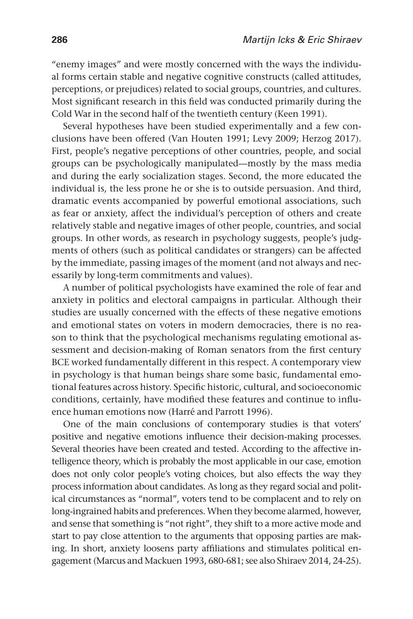"enemy images" and were mostly concerned with the ways the individual forms certain stable and negative cognitive constructs (called attitudes, perceptions, or prejudices) related to social groups, countries, and cultures. Most significant research in this field was conducted primarily during the Cold War in the second half of the twentieth century (Keen 1991).

Several hypotheses have been studied experimentally and a few conclusions have been offered (Van Houten 1991; Levy 2009; Herzog 2017). First, people's negative perceptions of other countries, people, and social groups can be psychologically manipulated—mostly by the mass media and during the early socialization stages. Second, the more educated the individual is, the less prone he or she is to outside persuasion. And third, dramatic events accompanied by powerful emotional associations, such as fear or anxiety, affect the individual's perception of others and create relatively stable and negative images of other people, countries, and social groups. In other words, as research in psychology suggests, people's judgments of others (such as political candidates or strangers) can be affected by the immediate, passing images of the moment (and not always and necessarily by long-term commitments and values).

A number of political psychologists have examined the role of fear and anxiety in politics and electoral campaigns in particular. Although their studies are usually concerned with the effects of these negative emotions and emotional states on voters in modern democracies, there is no reason to think that the psychological mechanisms regulating emotional assessment and decision-making of Roman senators from the first century BCE worked fundamentally different in this respect. A contemporary view in psychology is that human beings share some basic, fundamental emotional features across history. Specific historic, cultural, and socioeconomic conditions, certainly, have modified these features and continue to influence human emotions now (Harré and Parrott 1996).

One of the main conclusions of contemporary studies is that voters' positive and negative emotions influence their decision-making processes. Several theories have been created and tested. According to the affective intelligence theory, which is probably the most applicable in our case, emotion does not only color people's voting choices, but also effects the way they process information about candidates. As long as they regard social and political circumstances as "normal", voters tend to be complacent and to rely on long-ingrained habits and preferences. When they become alarmed, however, and sense that something is "not right", they shift to a more active mode and start to pay close attention to the arguments that opposing parties are making. In short, anxiety loosens party affiliations and stimulates political engagement (Marcus and Mackuen 1993, 680-681; see also Shiraev 2014, 24-25).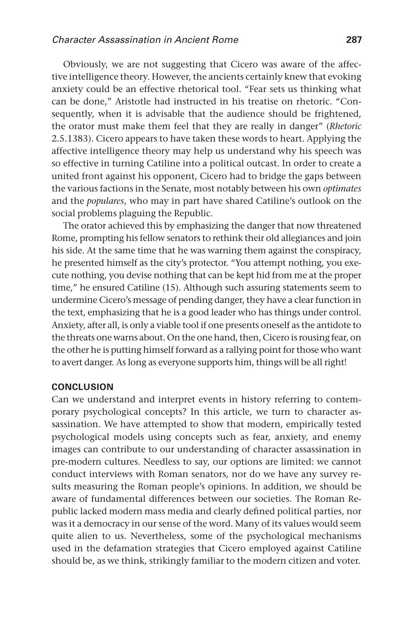Obviously, we are not suggesting that Cicero was aware of the affective intelligence theory. However, the ancients certainly knew that evoking anxiety could be an effective rhetorical tool. "Fear sets us thinking what can be done," Aristotle had instructed in his treatise on rhetoric. "Consequently, when it is advisable that the audience should be frightened, the orator must make them feel that they are really in danger" (*Rhetoric* 2.5.1383). Cicero appears to have taken these words to heart. Applying the affective intelligence theory may help us understand why his speech was so effective in turning Catiline into a political outcast. In order to create a united front against his opponent, Cicero had to bridge the gaps between the various factions in the Senate, most notably between his own *optimates* and the *populares*, who may in part have shared Catiline's outlook on the social problems plaguing the Republic.

The orator achieved this by emphasizing the danger that now threatened Rome, prompting his fellow senators to rethink their old allegiances and join his side. At the same time that he was warning them against the conspiracy, he presented himself as the city's protector. "You attempt nothing, you execute nothing, you devise nothing that can be kept hid from me at the proper time," he ensured Catiline (15). Although such assuring statements seem to undermine Cicero's message of pending danger, they have a clear function in the text, emphasizing that he is a good leader who has things under control. Anxiety, after all, is only a viable tool if one presents oneself as the antidote to the threats one warns about. On the one hand, then, Cicero is rousing fear, on the other he is putting himself forward as a rallying point for those who want to avert danger. As long as everyone supports him, things will be all right!

#### **Conclusion**

Can we understand and interpret events in history referring to contemporary psychological concepts? In this article, we turn to character assassination. We have attempted to show that modern, empirically tested psychological models using concepts such as fear, anxiety, and enemy images can contribute to our understanding of character assassination in pre-modern cultures. Needless to say, our options are limited: we cannot conduct interviews with Roman senators, nor do we have any survey results measuring the Roman people's opinions. In addition, we should be aware of fundamental differences between our societies. The Roman Republic lacked modern mass media and clearly defined political parties, nor was it a democracy in our sense of the word. Many of its values would seem quite alien to us. Nevertheless, some of the psychological mechanisms used in the defamation strategies that Cicero employed against Catiline should be, as we think, strikingly familiar to the modern citizen and voter.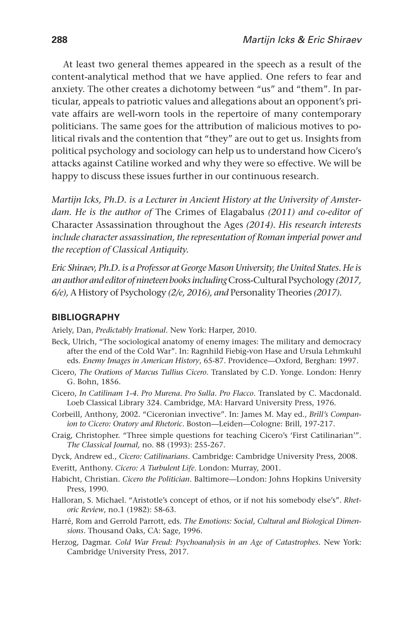At least two general themes appeared in the speech as a result of the content-analytical method that we have applied. One refers to fear and anxiety. The other creates a dichotomy between "us" and "them". In particular, appeals to patriotic values and allegations about an opponent's private affairs are well-worn tools in the repertoire of many contemporary politicians. The same goes for the attribution of malicious motives to political rivals and the contention that "they" are out to get us. Insights from political psychology and sociology can help us to understand how Cicero's attacks against Catiline worked and why they were so effective. We will be happy to discuss these issues further in our continuous research.

*Martijn Icks, Ph.D. is a Lecturer in Ancient History at the University of Amsterdam. He is the author of* The Crimes of Elagabalus *(2011) and co-editor of*  Character Assassination throughout the Ages *(2014). His research interests include character assassination, the representation of Roman imperial power and the reception of Classical Antiquity.*

*Eric Shiraev, Ph.D. is a Professor at George Mason University, the United States. He is an author and editor of nineteen books including* Cross-Cultural Psychology *(2017, 6/e),* A History of Psychology *(2/e, 2016), and* Personality Theories *(2017).*

#### **Bibliography**

Ariely, Dan, *Predictably Irrational*. New York: Harper, 2010.

- Beck, Ulrich, "The sociological anatomy of enemy images: The military and democracy after the end of the Cold War". In: Ragnhild Fiebig-von Hase and Ursula Lehmkuhl eds. *Enemy Images in American History*, 65-87. Providence—Oxford, Berghan: 1997.
- Cicero, *The Orations of Marcus Tullius Cicero*. Translated by C.D. Yonge. London: Henry G. Bohn, 1856.
- Cicero, *In Catilinam 1-4. Pro Murena. Pro Sulla. Pro Flacco*. Translated by C. Macdonald. Loeb Classical Library 324. Cambridge, MA: Harvard University Press, 1976.
- Corbeill, Anthony, 2002. "Ciceronian invective". In: James M. May ed., *Brill's Companion to Cicero: Oratory and Rhetoric*. Boston—Leiden—Cologne: Brill, 197-217.
- Craig, Christopher. "Three simple questions for teaching Cicero's 'First Catilinarian'". *The Classical Journal,* no. 88 (1993): 255-267.
- Dyck, Andrew ed., *Cicero: Catilinarians*. Cambridge: Cambridge University Press, 2008.
- Everitt, Anthony. *Cicero: A Turbulent Life*. London: Murray, 2001.
- Habicht, Christian. *Cicero the Politician*. Baltimore—London: Johns Hopkins University Press, 1990.
- Halloran, S. Michael. "Aristotle's concept of ethos, or if not his somebody else's". *Rhetoric Review*, no.1 (1982): 58-63.
- Harré, Rom and Gerrold Parrott, eds. *The Emotions: Social, Cultural and Biological Dimensions*. Thousand Oaks, CA: Sage, 1996.
- Herzog, Dagmar. *Cold War Freud: Psychoanalysis in an Age of Catastrophes.* New York: Cambridge University Press, 2017.